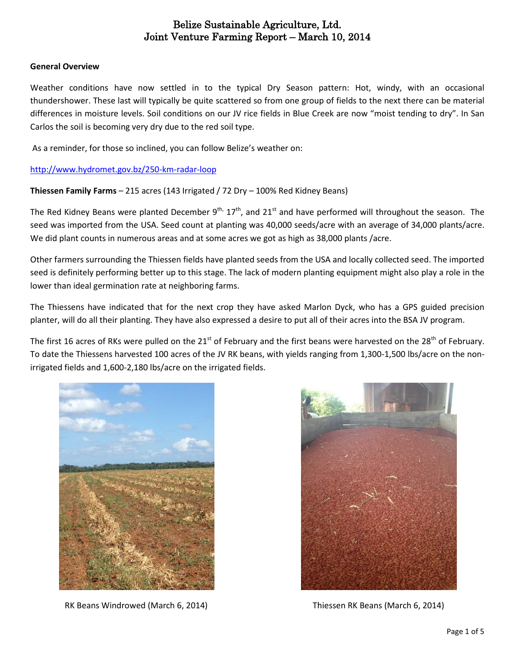#### **General Overview**

Weather conditions have now settled in to the typical Dry Season pattern: Hot, windy, with an occasional thundershower. These last will typically be quite scattered so from one group of fields to the next there can be material differences in moisture levels. Soil conditions on our JV rice fields in Blue Creek are now "moist tending to dry". In San Carlos the soil is becoming very dry due to the red soil type.

As a reminder, for those so inclined, you can follow Belize's weather on:

<http://www.hydromet.gov.bz/250-km-radar-loop>

**Thiessen Family Farms** – 215 acres (143 Irrigated / 72 Dry – 100% Red Kidney Beans)

The Red Kidney Beans were planted December 9<sup>th,</sup> 17<sup>th</sup>, and 21<sup>st</sup> and have performed will throughout the season. The seed was imported from the USA. Seed count at planting was 40,000 seeds/acre with an average of 34,000 plants/acre. We did plant counts in numerous areas and at some acres we got as high as 38,000 plants /acre.

Other farmers surrounding the Thiessen fields have planted seeds from the USA and locally collected seed. The imported seed is definitely performing better up to this stage. The lack of modern planting equipment might also play a role in the lower than ideal germination rate at neighboring farms.

The Thiessens have indicated that for the next crop they have asked Marlon Dyck, who has a GPS guided precision planter, will do all their planting. They have also expressed a desire to put all of their acres into the BSA JV program.

The first 16 acres of RKs were pulled on the 21<sup>st</sup> of February and the first beans were harvested on the 28<sup>th</sup> of February. To date the Thiessens harvested 100 acres of the JV RK beans, with yields ranging from 1,300-1,500 lbs/acre on the nonirrigated fields and 1,600-2,180 lbs/acre on the irrigated fields.



RK Beans Windrowed (March 6, 2014) Thiessen RK Beans (March 6, 2014)

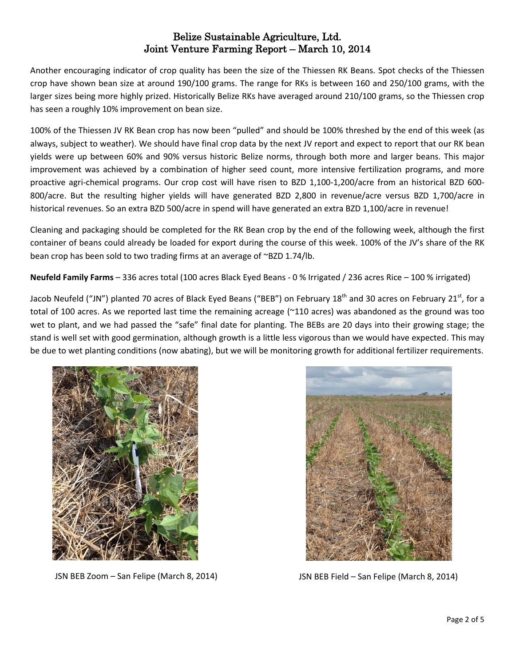Another encouraging indicator of crop quality has been the size of the Thiessen RK Beans. Spot checks of the Thiessen crop have shown bean size at around 190/100 grams. The range for RKs is between 160 and 250/100 grams, with the larger sizes being more highly prized. Historically Belize RKs have averaged around 210/100 grams, so the Thiessen crop has seen a roughly 10% improvement on bean size.

100% of the Thiessen JV RK Bean crop has now been "pulled" and should be 100% threshed by the end of this week (as always, subject to weather). We should have final crop data by the next JV report and expect to report that our RK bean yields were up between 60% and 90% versus historic Belize norms, through both more and larger beans. This major improvement was achieved by a combination of higher seed count, more intensive fertilization programs, and more proactive agri-chemical programs. Our crop cost will have risen to BZD 1,100-1,200/acre from an historical BZD 600- 800/acre. But the resulting higher yields will have generated BZD 2,800 in revenue/acre versus BZD 1,700/acre in historical revenues. So an extra BZD 500/acre in spend will have generated an extra BZD 1,100/acre in revenue!

Cleaning and packaging should be completed for the RK Bean crop by the end of the following week, although the first container of beans could already be loaded for export during the course of this week. 100% of the JV's share of the RK bean crop has been sold to two trading firms at an average of ~BZD 1.74/lb.

**Neufeld Family Farms** – 336 acres total (100 acres Black Eyed Beans - 0 % Irrigated / 236 acres Rice – 100 % irrigated)

Jacob Neufeld ("JN") planted 70 acres of Black Eyed Beans ("BEB") on February 18<sup>th</sup> and 30 acres on February 21<sup>st</sup>, for a total of 100 acres. As we reported last time the remaining acreage (~110 acres) was abandoned as the ground was too wet to plant, and we had passed the "safe" final date for planting. The BEBs are 20 days into their growing stage; the stand is well set with good germination, although growth is a little less vigorous than we would have expected. This may be due to wet planting conditions (now abating), but we will be monitoring growth for additional fertilizer requirements.



JSN BEB Zoom – San Felipe (March 8, 2014) JSN BEB Field – San Felipe (March 8, 2014)

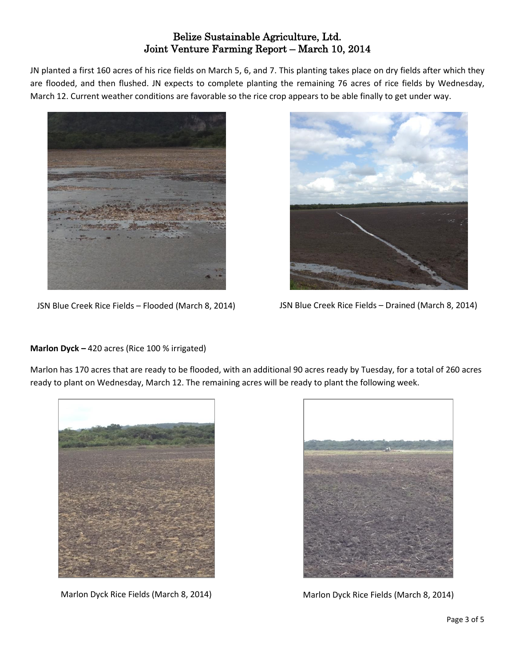JN planted a first 160 acres of his rice fields on March 5, 6, and 7. This planting takes place on dry fields after which they are flooded, and then flushed. JN expects to complete planting the remaining 76 acres of rice fields by Wednesday, March 12. Current weather conditions are favorable so the rice crop appears to be able finally to get under way.



JSN Blue Creek Rice Fields – Flooded (March 8, 2014) JSN Blue Creek Rice Fields – Drained (March 8, 2014)



#### **Marlon Dyck –** 420 acres (Rice 100 % irrigated)

Marlon has 170 acres that are ready to be flooded, with an additional 90 acres ready by Tuesday, for a total of 260 acres ready to plant on Wednesday, March 12. The remaining acres will be ready to plant the following week.





Marlon Dyck Rice Fields (March 8, 2014) Marlon Dyck Rice Fields (March 8, 2014)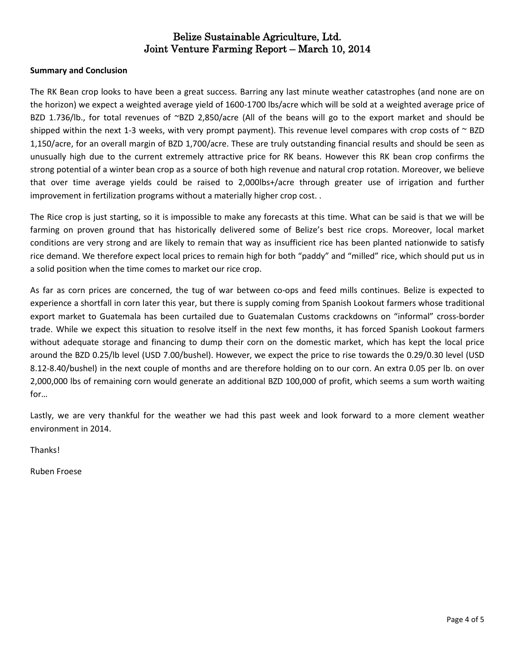#### **Summary and Conclusion**

The RK Bean crop looks to have been a great success. Barring any last minute weather catastrophes (and none are on the horizon) we expect a weighted average yield of 1600-1700 lbs/acre which will be sold at a weighted average price of BZD 1.736/lb., for total revenues of ~BZD 2,850/acre (All of the beans will go to the export market and should be shipped within the next 1-3 weeks, with very prompt payment). This revenue level compares with crop costs of  $\sim$  BZD 1,150/acre, for an overall margin of BZD 1,700/acre. These are truly outstanding financial results and should be seen as unusually high due to the current extremely attractive price for RK beans. However this RK bean crop confirms the strong potential of a winter bean crop as a source of both high revenue and natural crop rotation. Moreover, we believe that over time average yields could be raised to 2,000lbs+/acre through greater use of irrigation and further improvement in fertilization programs without a materially higher crop cost. .

The Rice crop is just starting, so it is impossible to make any forecasts at this time. What can be said is that we will be farming on proven ground that has historically delivered some of Belize's best rice crops. Moreover, local market conditions are very strong and are likely to remain that way as insufficient rice has been planted nationwide to satisfy rice demand. We therefore expect local prices to remain high for both "paddy" and "milled" rice, which should put us in a solid position when the time comes to market our rice crop.

As far as corn prices are concerned, the tug of war between co-ops and feed mills continues. Belize is expected to experience a shortfall in corn later this year, but there is supply coming from Spanish Lookout farmers whose traditional export market to Guatemala has been curtailed due to Guatemalan Customs crackdowns on "informal" cross-border trade. While we expect this situation to resolve itself in the next few months, it has forced Spanish Lookout farmers without adequate storage and financing to dump their corn on the domestic market, which has kept the local price around the BZD 0.25/lb level (USD 7.00/bushel). However, we expect the price to rise towards the 0.29/0.30 level (USD 8.12-8.40/bushel) in the next couple of months and are therefore holding on to our corn. An extra 0.05 per lb. on over 2,000,000 lbs of remaining corn would generate an additional BZD 100,000 of profit, which seems a sum worth waiting for…

Lastly, we are very thankful for the weather we had this past week and look forward to a more clement weather environment in 2014.

Thanks!

Ruben Froese